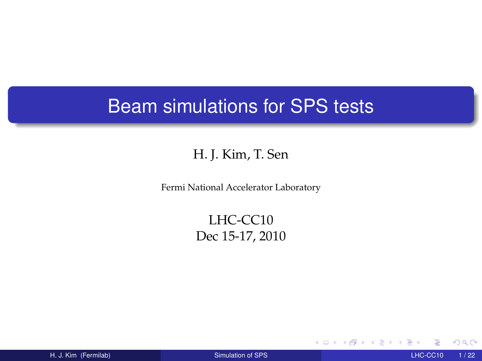## Beam simulations for SPS tests

#### H. J. Kim, T. Sen

Fermi National Accelerator Laboratory

LHC-CC10 Dec 15-17, 2010

H. J. Kim (Fermilab) [Simulation of SPS](#page-21-0) LHC-CC10 1 / 22

 $\blacksquare$ 

<span id="page-0-0"></span>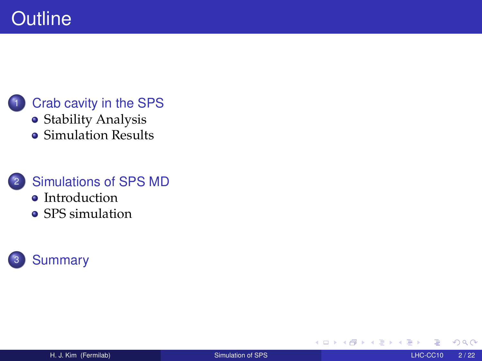#### [Crab cavity in the SPS](#page-2-0)

- **•** [Stability Analysis](#page-5-0)
- [Simulation Results](#page-7-0)

#### <sup>2</sup> [Simulations of SPS MD](#page-14-0)

- [Introduction](#page-15-0)
- [SPS simulation](#page-16-0)



<span id="page-1-0"></span> $\blacksquare$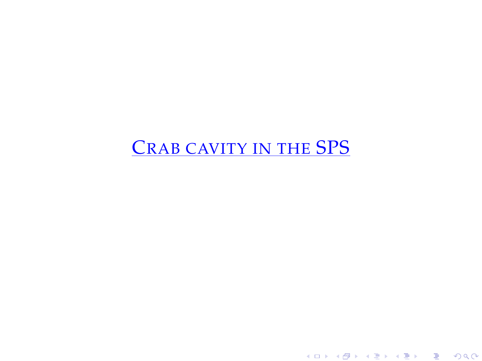## <span id="page-2-0"></span>CRAB CAVITY IN THE SPS

K ロ ▶ K 레 ▶ K 회 ▶ K 회 ▶ X 회 ▶ X 회 → 9 Q @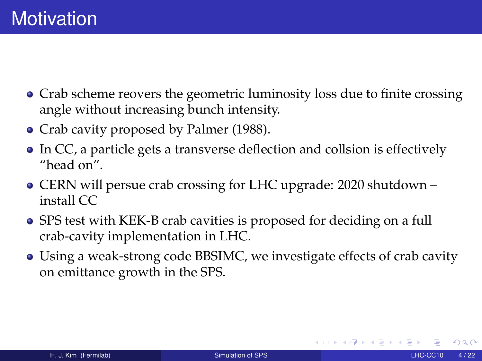- Crab scheme reovers the geometric luminosity loss due to finite crossing angle without increasing bunch intensity.
- Crab cavity proposed by Palmer (1988).
- In CC, a particle gets a transverse deflection and collsion is effectively "head on".
- CERN will persue crab crossing for LHC upgrade: 2020 shutdown install CC
- SPS test with KEK-B crab cavities is proposed for deciding on a full crab-cavity implementation in LHC.
- Using a weak-strong code BBSIMC, we investigate effects of crab cavity on emittance growth in the SPS.

 $\Omega$ 

∢ ロ ▶ ∢ 母 ▶ ∢ 重 ▶ ∢ 重 ▶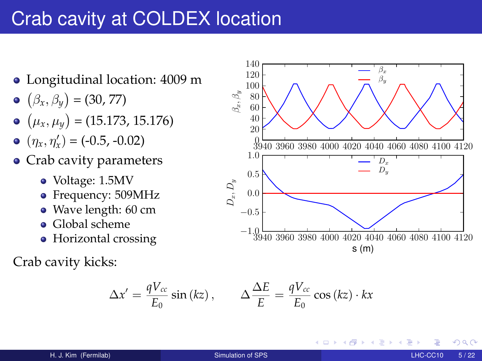## Crab cavity at COLDEX location

- Longitudinal location: 4009 m
- $(\beta_x, \beta_y) = (30, 77)$
- $(\mu_x, \mu_y) = (15.173, 15.176)$
- $(\eta_x, \eta_x') = (-0.5, -0.02)$
- Crab cavity parameters
	- Voltage: 1.5MV
	- Frequency: 509MHz
	- Wave length: 60 cm
	- Global scheme
	- Horizontal crossing

Crab cavity kicks:

$$
\Delta x' = \frac{qV_{cc}}{E_0} \sin(kz), \qquad \Delta \frac{\Delta E}{E} = \frac{qV_{cc}}{E_0} \cos(kz) \cdot kx
$$



4 0 8

つへへ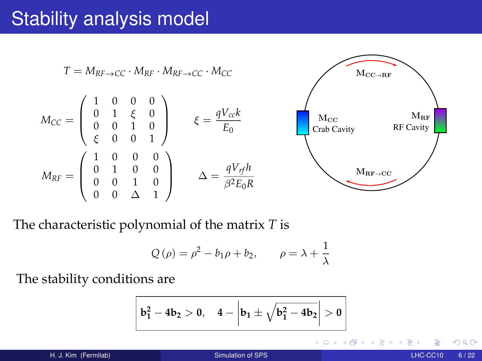## Stability analysis model

$$
T = M_{RF \to CC} \cdot M_{RF} \cdot M_{RF \to CC} \cdot M_{CC}
$$
  
\n
$$
M_{CC} = \begin{pmatrix} 1 & 0 & 0 & 0 \\ 0 & 1 & \xi & 0 \\ 0 & 0 & 1 & 0 \\ \xi & 0 & 0 & 1 \end{pmatrix} \qquad \xi = \frac{qV_{c}k}{E_0}
$$
  
\n
$$
M_{RF} = \begin{pmatrix} 1 & 0 & 0 & 0 \\ 0 & 1 & 0 & 0 \\ 0 & 0 & 1 & 0 \\ 0 & 0 & \Delta & 1 \end{pmatrix} \qquad \Delta = \frac{qV_{rf}h}{\beta^2 E_0 R}
$$
  
\n
$$
M_{RF \to CC}
$$
  
\n
$$
M_{RF \to CC}
$$
  
\n
$$
M_{RF \to CC}
$$

The characteristic polynomial of the matrix *T* is

$$
Q(\rho) = \rho^2 - b_1 \rho + b_2, \qquad \rho = \lambda + \frac{1}{\lambda}
$$

The stability conditions are

$$
\left| \; b_1^2 - 4b_2 > 0, \quad 4 - \left| b_1 \pm \sqrt{b_1^2 - 4b_2} \right| > 0 \;\right|
$$

<span id="page-5-0"></span>4.000.4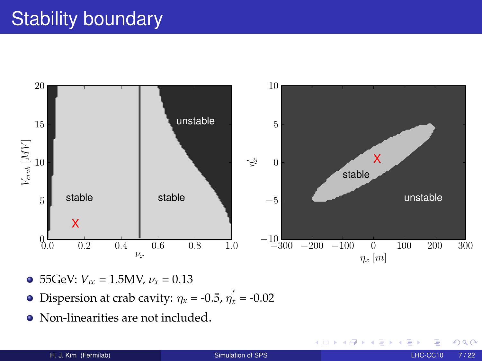# **Stability boundary**



- $\bullet$  55GeV:  $V_{cc} = 1.5MV, \nu_x = 0.13$
- Dispersion at crab cavity:  $\eta_x = -0.5$ ,  $\eta'_x = -0.02$
- Non-linearities are not included.

<span id="page-6-0"></span>4 D F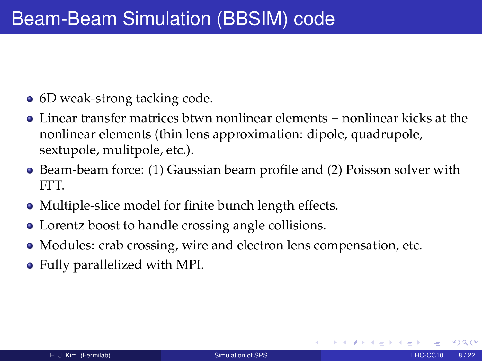- 6D weak-strong tacking code.
- Linear transfer matrices btwn nonlinear elements + nonlinear kicks at the nonlinear elements (thin lens approximation: dipole, quadrupole, sextupole, mulitpole, etc.).
- Beam-beam force: (1) Gaussian beam profile and (2) Poisson solver with FFT.
- Multiple-slice model for finite bunch length effects.
- Lorentz boost to handle crossing angle collisions.
- Modules: crab crossing, wire and electron lens compensation, etc.
- Fully parallelized with MPI.

<span id="page-7-0"></span>つひひ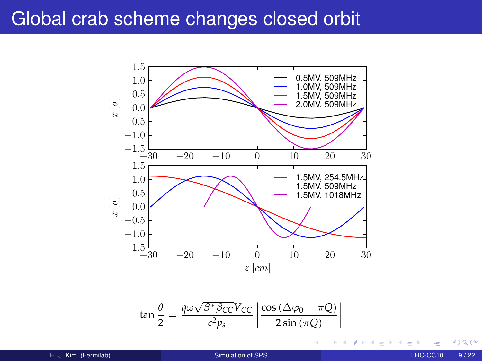### Global crab scheme changes closed orbit



$$
\tan\frac{\theta}{2} = \frac{q\omega\sqrt{\beta^* \beta_{CC}}V_{CC}}{c^2 p_s} \left| \frac{\cos\left(\Delta\varphi_0 - \pi Q\right)}{2\sin\left(\pi Q\right)} \right|
$$

H. J. Kim (Fermilab) [Simulation of SPS](#page-0-0) LHC-CC10 9 / 22

 $\leftarrow$   $\Box$   $\rightarrow$ 

Þ

≣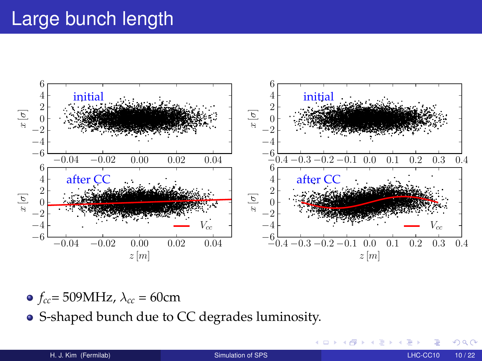## Large bunch length



 $\circ$  *f<sub>cc</sub>*= 509MHz,  $\lambda_{cc}$  = 60cm

S-shaped bunch due to CC degrades luminosity.

 $\leftarrow$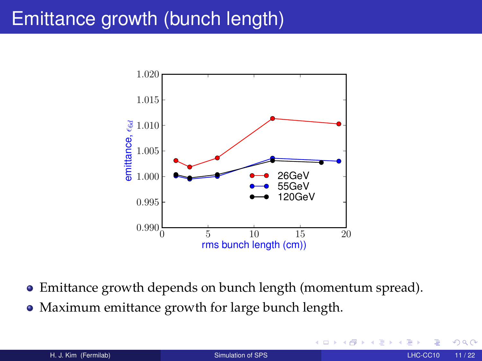## Emittance growth (bunch length)



- Emittance growth depends on bunch length (momentum spread).
- Maximum emittance growth for large bunch length.

 $\leftarrow$ 

<span id="page-10-0"></span>つへへ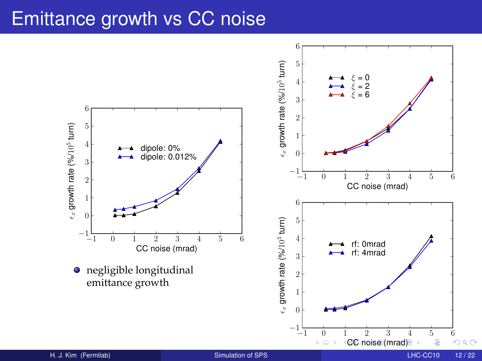### Emittance growth vs CC noise

<span id="page-11-0"></span>

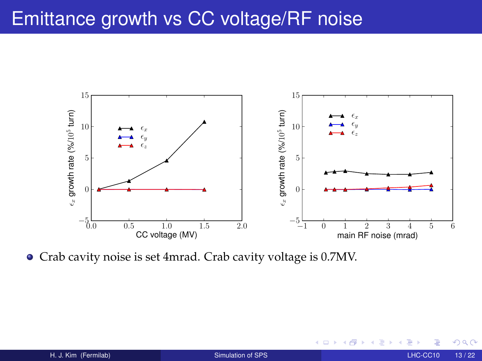## Emittance growth vs CC voltage/RF noise



Crab cavity noise is set 4mrad. Crab cavity voltage is 0.7MV.

<span id="page-12-0"></span> $\leftarrow$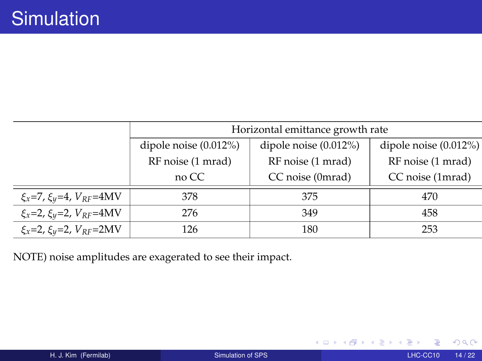|                                            | Horizontal emittance growth rate |                          |                          |  |
|--------------------------------------------|----------------------------------|--------------------------|--------------------------|--|
|                                            | dipole noise $(0.012\%)$         | dipole noise $(0.012\%)$ | dipole noise $(0.012\%)$ |  |
|                                            | RF noise (1 mrad)                | RF noise (1 mrad)        | RF noise (1 mrad)        |  |
|                                            | no CC                            | CC noise (0mrad)         | CC noise (1mrad)         |  |
| $\xi_x = 7$ , $\xi_y = 4$ , $V_{RF} = 4MV$ | 378                              | 375                      | 470                      |  |
| $\xi_x = 2$ , $\xi_y = 2$ , $V_{RF} = 4MV$ | 276                              | 349                      | 458                      |  |
| $\xi_x = 2$ , $\xi_y = 2$ , $V_{RF} = 2MV$ | 126                              | 180                      | 253                      |  |

NOTE) noise amplitudes are exagerated to see their impact.

◆ ロ ▶ → 伊  $\mathbf{p}$ ∍ × × ∍

<span id="page-13-0"></span> $\rightarrow$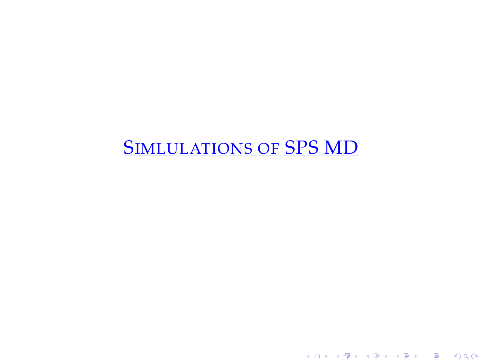## <span id="page-14-0"></span>SIMLULATIONS OF SPS MD

K ロ ▶ K 레 ▶ K 회 ▶ K 회 ▶ X 회 ▶ X 회 → 9 Q @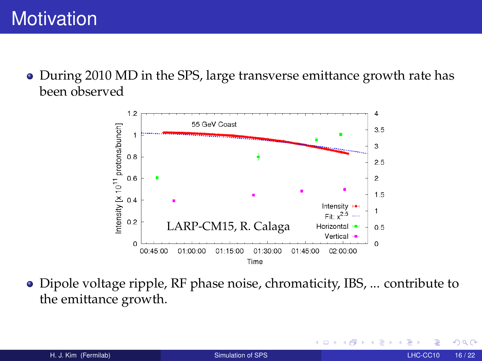During 2010 MD in the SPS, large transverse emittance growth rate has been observed

<span id="page-15-0"></span>

Dipole voltage ripple, RF phase noise, chromaticity, IBS, ... contribute to the emittance growth.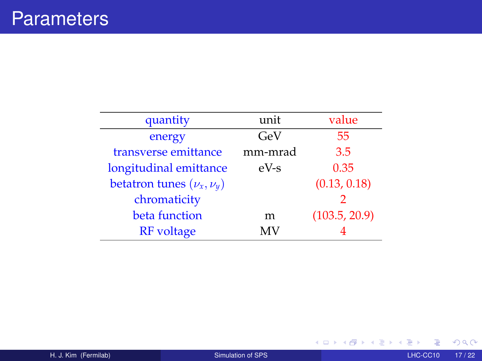| quantity                        | unit    | value         |
|---------------------------------|---------|---------------|
| energy                          | GeV     | 55            |
| transverse emittance            | mm-mrad | 3.5           |
| longitudinal emittance          | $eV-S$  | 0.35          |
| betatron tunes $(\nu_x, \nu_y)$ |         | (0.13, 0.18)  |
| chromaticity                    |         | 2             |
| beta function                   | m       | (103.5, 20.9) |
| <b>RF</b> voltage               | МV      |               |

<span id="page-16-0"></span> $299$ 

イロト イ押 トイモ トイモト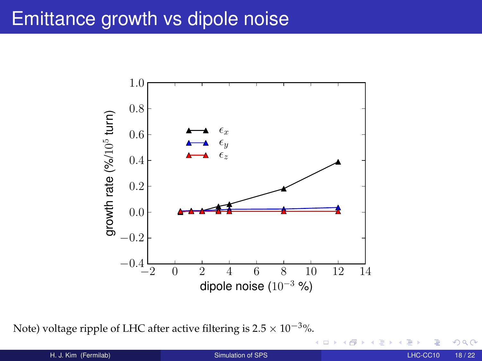## Emittance growth vs dipole noise



Note) voltage ripple of LHC after active filtering is  $2.5 \times 10^{-3}$ %.

 $\leftarrow$   $\Box$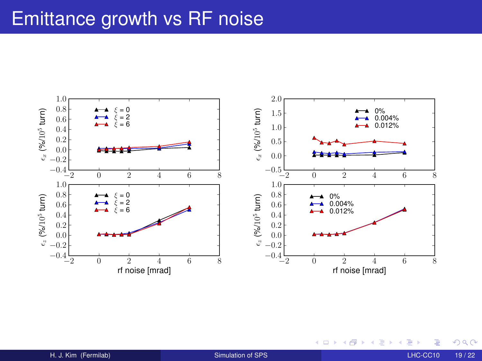## Emittance growth vs RF noise



<span id="page-18-0"></span> $\mathbf{A} \quad \mathbf{I} \quad \mathbf{I} \quad \mathbf{B} \quad \mathbf{A}$ 同 × ÷. × × ∍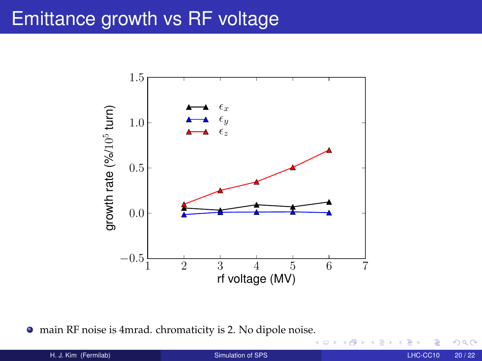## Emittance growth vs RF voltage



main RF noise is 4mrad. chromaticity is 2. No dipole nois[e.](#page-18-0)

4 D F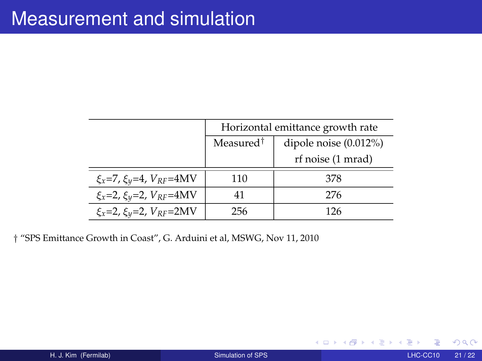|                                            | Horizontal emittance growth rate |                          |  |
|--------------------------------------------|----------------------------------|--------------------------|--|
|                                            | Measured <sup>†</sup>            | dipole noise $(0.012\%)$ |  |
|                                            |                                  | rf noise (1 mrad)        |  |
| $\xi_x = 7$ , $\xi_y = 4$ , $V_{RF} = 4MV$ | 110                              | 378                      |  |
| $\xi_x = 2$ , $\xi_y = 2$ , $V_{RF} = 4MV$ | 41                               | 276                      |  |
| $\xi_x = 2$ , $\xi_y = 2$ , $V_{RF} = 2MV$ | 256                              | 126                      |  |

† "SPS Emittance Growth in Coast", G. Arduini et al, MSWG, Nov 11, 2010

 $\mathbf{A} \quad \mathbf{I} \quad \mathbf{I} \quad \mathbf{B} \quad \mathbf{A}$ 

De la Car Ξ